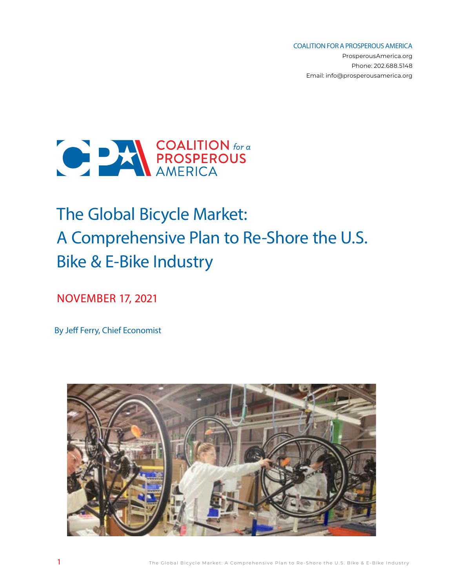COALITION FOR A PROSPEROUS AMERICA

ProsperousAmerica.org Phone: 202.688.5148 Email: info@prosperousamerica.org



# The Global Bicycle Market: A Comprehensive Plan to Re-Shore the U.S. Bike & E-Bike Industry

NOVEMBER 17, 2021

By Jeff Ferry, Chief Economist

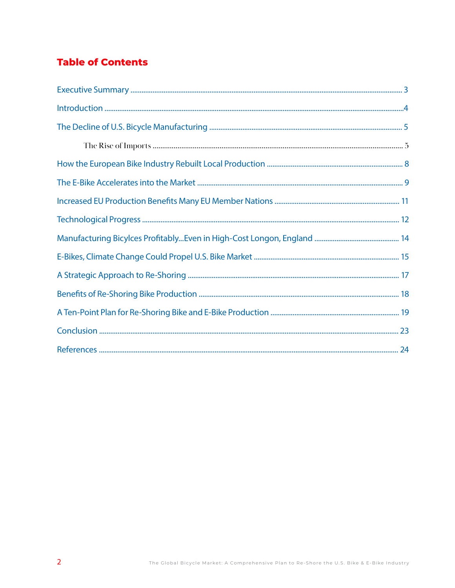# **Table of Contents**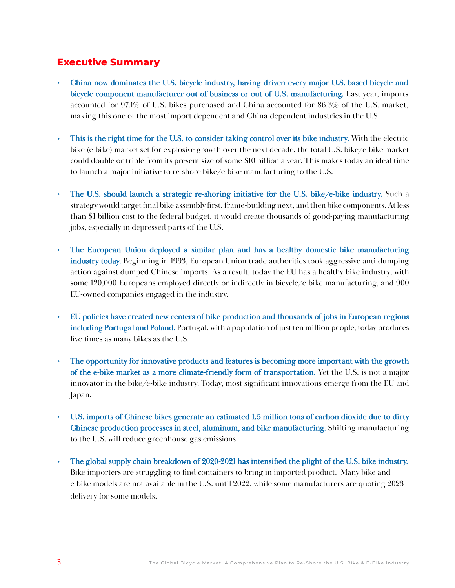## **Executive Summary**

- China now dominates the U.S. bicycle industry, having driven every major U.S.-based bicycle and bicycle component manufacturer out of business or out of U.S. manufacturing. Last year, imports accounted for 97.1% of U.S. bikes purchased and China accounted for 86.3% of the U.S. market, making this one of the most import-dependent and China-dependent industries in the U.S.
- This is the right time for the U.S. to consider taking control over its bike industry. With the electric bike (e-bike) market set for explosive growth over the next decade, the total U.S. bike/e-bike market could double or triple from its present size of some \$10 billion a year. This makes today an ideal time to launch a major initiative to re-shore bike/e-bike manufacturing to the U.S.
- The U.S. should launch a strategic re-shoring initiative for the U.S. bike/e-bike industry. Such a strategy would target final bike assembly first, frame-building next, and then bike components. At less than \$1 billion cost to the federal budget, it would create thousands of good-paying manufacturing jobs, especially in depressed parts of the U.S.
- The European Union deployed a similar plan and has a healthy domestic bike manufacturing industry today. Beginning in 1993, European Union trade authorities took aggressive anti-dumping action against dumped Chinese imports. As a result, today the EU has a healthy bike industry, with some 120,000 Europeans employed directly or indirectly in bicycle/e-bike manufacturing, and 900 EU-owned companies engaged in the industry.
- EU policies have created new centers of bike production and thousands of jobs in European regions including Portugal and Poland. Portugal, with a population of just ten million people, today produces five times as many bikes as the U.S.
- The opportunity for innovative products and features is becoming more important with the growth of the e-bike market as a more climate-friendly form of transportation. Yet the U.S. is not a major innovator in the bike/e-bike industry. Today, most significant innovations emerge from the EU and Japan.
- U.S. imports of Chinese bikes generate an estimated 1.5 million tons of carbon dioxide due to dirty Chinese production processes in steel, aluminum, and bike manufacturing. Shifting manufacturing to the U.S. will reduce greenhouse gas emissions.
- The global supply chain breakdown of 2020-2021 has intensified the plight of the U.S. bike industry. Bike importers are struggling to find containers to bring in imported product. Many bike and e-bike models are not available in the U.S. until 2022, while some manufacturers are quoting 2023 delivery for some models.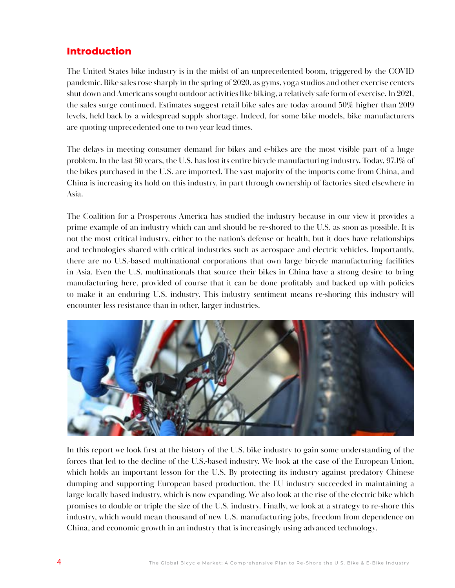## **Introduction**

The United States bike industry is in the midst of an unprecedented boom, triggered by the COVID pandemic. Bike sales rose sharply in the spring of 2020, as gyms, yoga studios and other exercise centers shut down and Americans sought outdoor activities like biking, a relatively safe form of exercise. In 2021, the sales surge continued. Estimates suggest retail bike sales are today around 50% higher than 2019 levels, held back by a widespread supply shortage. Indeed, for some bike models, bike manufacturers are quoting unprecedented one to two year lead times.

The delays in meeting consumer demand for bikes and e-bikes are the most visible part of a huge problem. In the last 30 years, the U.S. has lost its entire bicycle manufacturing industry. Today, 97.1% of the bikes purchased in the U.S. are imported. The vast majority of the imports come from China, and China is increasing its hold on this industry, in part through ownership of factories sited elsewhere in Asia.

The Coalition for a Prosperous America has studied the industry because in our view it provides a prime example of an industry which can and should be re-shored to the U.S. as soon as possible. It is not the most critical industry, either to the nation's defense or health, but it does have relationships and technologies shared with critical industries such as aerospace and electric vehicles. Importantly, there are no U.S.-based multinational corporations that own large bicycle manufacturing facilities in Asia. Even the U.S. multinationals that source their bikes in China have a strong desire to bring manufacturing here, provided of course that it can be done profitably and backed up with policies to make it an enduring U.S. industry. This industry sentiment means re-shoring this industry will encounter less resistance than in other, larger industries.



In this report we look first at the history of the U.S. bike industry to gain some understanding of the forces that led to the decline of the U.S.-based industry. We look at the case of the European Union, which holds an important lesson for the U.S. By protecting its industry against predatory Chinese dumping and supporting European-based production, the EU industry succeeded in maintaining a large locally-based industry, which is now expanding. We also look at the rise of the electric bike which promises to double or triple the size of the U.S. industry. Finally, we look at a strategy to re-shore this industry, which would mean thousand of new U.S. manufacturing jobs, freedom from dependence on China, and economic growth in an industry that is increasingly using advanced technology.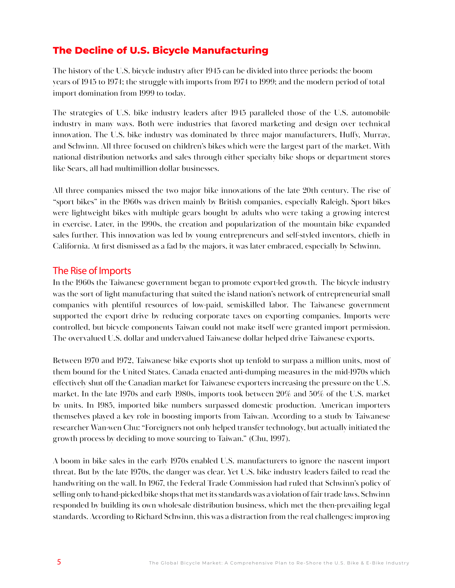## **The Decline of U.S. Bicycle Manufacturing**

The history of the U.S. bicycle industry after 1945 can be divided into three periods: the boom years of 1945 to 1974; the struggle with imports from 1974 to 1999; and the modern period of total import domination from 1999 to today.

The strategies of U.S. bike industry leaders after 1945 paralleled those of the U.S. automobile industry in many ways. Both were industries that favored marketing and design over technical innovation. The U.S. bike industry was dominated by three major manufacturers, Huffy, Murray, and Schwinn. All three focused on children's bikes which were the largest part of the market. With national distribution networks and sales through either specialty bike shops or department stores like Sears, all had multimillion dollar businesses.

All three companies missed the two major bike innovations of the late 20th century. The rise of "sport bikes" in the 1960s was driven mainly by British companies, especially Raleigh. Sport bikes were lightweight bikes with multiple gears bought by adults who were taking a growing interest in exercise. Later, in the 1990s, the creation and popularization of the mountain bike expanded sales further. This innovation was led by young entrepreneurs and self-styled inventors, chiefly in California. At first dismissed as a fad by the majors, it was later embraced, especially by Schwinn.

#### The Rise of Imports

In the 1960s the Taiwanese government began to promote export-led growth. The bicycle industry was the sort of light manufacturing that suited the island nation's network of entrepreneurial small companies with plentiful resources of low-paid, semiskilled labor. The Taiwanese government supported the export drive by reducing corporate taxes on exporting companies. Imports were controlled, but bicycle components Taiwan could not make itself were granted import permission. The overvalued U.S. dollar and undervalued Taiwanese dollar helped drive Taiwanese exports.

Between 1970 and 1972, Taiwanese bike exports shot up tenfold to surpass a million units, most of them bound for the United States. Canada enacted anti-dumping measures in the mid-1970s which effectively shut off the Canadian market for Taiwanese exporters increasing the pressure on the U.S. market. In the late 1970s and early 1980s, imports took between 20% and 50% of the U.S. market by units. In 1985, imported bike numbers surpassed domestic production. American importers themselves played a key role in boosting imports from Taiwan. According to a study by Taiwanese researcher Wan-wen Chu: "Foreigners not only helped transfer technology, but actually initiated the growth process by deciding to move sourcing to Taiwan." (Chu, 1997).

A boom in bike sales in the early 1970s enabled U.S. manufacturers to ignore the nascent import threat. But by the late 1970s, the danger was clear. Yet U.S. bike industry leaders failed to read the handwriting on the wall. In 1967, the Federal Trade Commission had ruled that Schwinn's policy of selling only to hand-picked bike shops that met its standards was a violation of fair trade laws. Schwinn responded by building its own wholesale distribution business, which met the then-prevailing legal standards. According to Richard Schwinn, this was a distraction from the real challenges: improving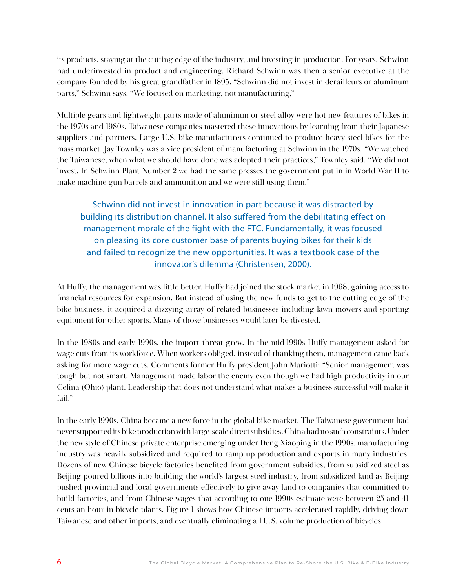its products, staying at the cutting edge of the industry, and investing in production. For years, Schwinn had underinvested in product and engineering. Richard Schwinn was then a senior executive at the company founded by his great-grandfather in 1895. "Schwinn did not invest in derailleurs or aluminum parts," Schwinn says. "We focused on marketing, not manufacturing,"

Multiple gears and lightweight parts made of aluminum or steel alloy were hot new features of bikes in the 1970s and 1980s. Taiwanese companies mastered these innovations by learning from their Japanese suppliers and partners. Large U.S. bike manufacturers continued to produce heavy steel bikes for the mass market. Jay Townley was a vice president of manufacturing at Schwinn in the 1970s. "We watched the Taiwanese, when what we should have done was adopted their practices," Townley said. "We did not invest. In Schwinn Plant Number 2 we had the same presses the government put in in World War II to make machine gun barrels and ammunition and we were still using them."

Schwinn did not invest in innovation in part because it was distracted by building its distribution channel. It also suffered from the debilitating effect on management morale of the fight with the FTC. Fundamentally, it was focused on pleasing its core customer base of parents buying bikes for their kids and failed to recognize the new opportunities. It was a textbook case of the innovator's dilemma (Christensen, 2000).

At Huffy, the management was little better. Huffy had joined the stock market in 1968, gaining access to financial resources for expansion. But instead of using the new funds to get to the cutting edge of the bike business, it acquired a dizzying array of related businesses including lawn mowers and sporting equipment for other sports. Many of those businesses would later be divested.

In the 1980s and early 1990s, the import threat grew. In the mid-1990s Huffy management asked for wage cuts from its workforce. When workers obliged, instead of thanking them, management came back asking for more wage cuts. Comments former Huffy president John Mariotti: "Senior management was tough but not smart. Management made labor the enemy even though we had high productivity in our Celina (Ohio) plant. Leadership that does not understand what makes a business successful will make it fail."

In the early 1990s, China became a new force in the global bike market. The Taiwanese government had never supported its bike production with large-scale direct subsidies. China had no such constraints. Under the new style of Chinese private enterprise emerging under Deng Xiaoping in the 1990s, manufacturing industry was heavily subsidized and required to ramp up production and exports in many industries. Dozens of new Chinese bicycle factories benefited from government subsidies, from subsidized steel as Beijing poured billions into building the world's largest steel industry, from subsidized land as Beijing pushed provincial and local governments effectively to give away land to companies that committed to build factories, and from Chinese wages that according to one 1990s estimate were between 25 and 41 cents an hour in bicycle plants. Figure 1 shows how Chinese imports accelerated rapidly, driving down Taiwanese and other imports, and eventually eliminating all U.S. volume production of bicycles.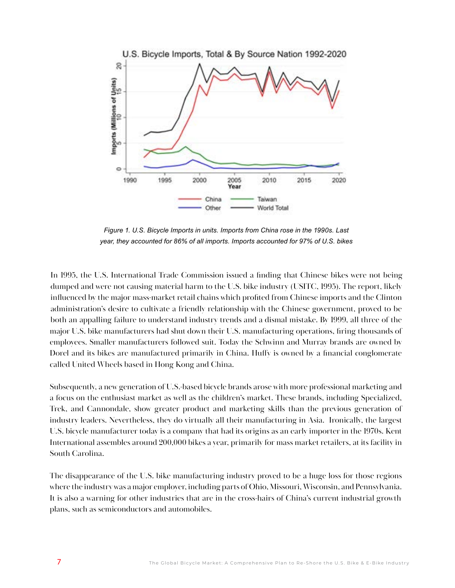

*Figure 1. U.S. Bicycle Imports in units. Imports from China rose in the 1990s. Last year, they accounted for 86% of all imports. Imports accounted for 97% of U.S. bikes* 

In 1995, the U.S. International Trade Commission issued a finding that Chinese bikes were not being dumped and were not causing material harm to the U.S. bike industry (USITC, 1995). The report, likely influenced by the major mass-market retail chains which profited from Chinese imports and the Clinton administration's desire to cultivate a friendly relationship with the Chinese government, proved to be both an appalling failure to understand industry trends and a dismal mistake. By 1999, all three of the major U.S. bike manufacturers had shut down their U.S. manufacturing operations, firing thousands of employees. Smaller manufacturers followed suit. Today the Schwinn and Murray brands are owned by Dorel and its bikes are manufactured primarily in China. Huffy is owned by a financial conglomerate called United Wheels based in Hong Kong and China.

Subsequently, a new generation of U.S.-based bicycle brands arose with more professional marketing and a focus on the enthusiast market as well as the children's market. These brands, including Specialized, Trek, and Cannondale, show greater product and marketing skills than the previous generation of industry leaders. Nevertheless, they do virtually all their manufacturing in Asia. Ironically, the largest U.S. bicycle manufacturer today is a company that had its origins as an early importer in the 1970s. Kent International assembles around 200,000 bikes a year, primarily for mass market retailers, at its facility in South Carolina.

The disappearance of the U.S. bike manufacturing industry proved to be a huge loss for those regions where the industry was a major employer, including parts of Ohio, Missouri, Wisconsin, and Pennsylvania. It is also a warning for other industries that are in the cross-hairs of China's current industrial growth plans, such as semiconductors and automobiles.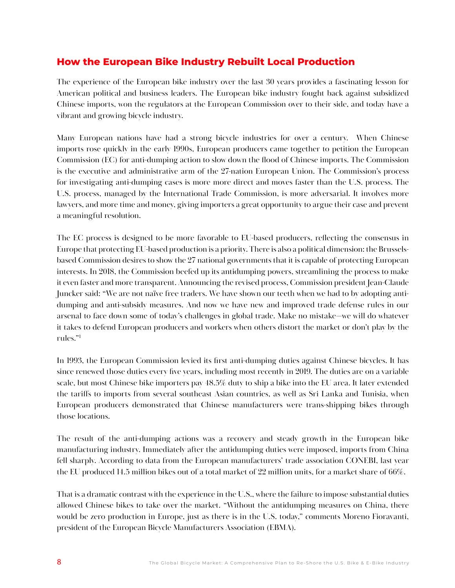## **How the European Bike Industry Rebuilt Local Production**

The experience of the European bike industry over the last 30 years provides a fascinating lesson for American political and business leaders. The European bike industry fought back against subsidized Chinese imports, won the regulators at the European Commission over to their side, and today have a vibrant and growing bicycle industry.

Many European nations have had a strong bicycle industries for over a century. When Chinese imports rose quickly in the early 1990s, European producers came together to petition the European Commission (EC) for anti-dumping action to slow down the flood of Chinese imports. The Commission is the executive and administrative arm of the 27-nation European Union. The Commission's process for investigating anti-dumping cases is more more direct and moves faster than the U.S. process. The U.S. process, managed by the International Trade Commission, is more adversarial. It involves more lawyers, and more time and money, giving importers a great opportunity to argue their case and prevent a meaningful resolution.

The EC process is designed to be more favorable to EU-based producers, reflecting the consensus in Europe that protecting EU-based production is a priority. There is also a political dimension: the Brusselsbased Commission desires to show the 27 national governments that it is capable of protecting European interests. In 2018, the Commission beefed up its antidumping powers, streamlining the process to make it even faster and more transparent. Announcing the revised process, Commission president Jean-Claude Juncker said: "We are not naïve free traders. We have shown our teeth when we had to by adopting antidumping and anti-subsidy measures. And now we have new and improved trade defense rules in our arsenal to face down some of today's challenges in global trade. Make no mistake—we will do whatever it takes to defend European producers and workers when others distort the market or don't play by the rules."1

In 1993, the European Commission levied its first anti-dumping duties against Chinese bicycles. It has since renewed those duties every five years, including most recently in 2019. The duties are on a variable scale, but most Chinese bike importers pay 48.5% duty to ship a bike into the EU area. It later extended the tariffs to imports from several southeast Asian countries, as well as Sri Lanka and Tunisia, when European producers demonstrated that Chinese manufacturers were trans-shipping bikes through those locations.

The result of the anti-dumping actions was a recovery and steady growth in the European bike manufacturing industry. Immediately after the antidumping duties were imposed, imports from China fell sharply. According to data from the European manufacturers' trade association CONEBI, last year the EU produced 14.5 million bikes out of a total market of 22 million units, for a market share of 66%.

That is a dramatic contrast with the experience in the U.S., where the failure to impose substantial duties allowed Chinese bikes to take over the market. "Without the antidumping measures on China, there would be zero production in Europe, just as there is in the U.S. today," comments Moreno Fioravanti, president of the European Bicycle Manufacturers Association (EBMA).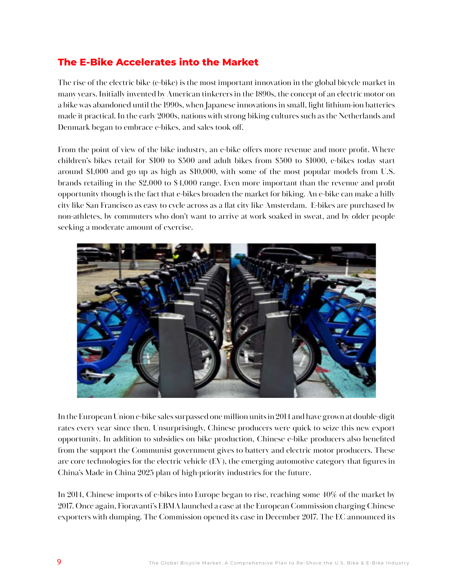# **The E-Bike Accelerates into the Market**

The rise of the electric bike (e-bike) is the most important innovation in the global bicycle market in many years. Initially invented by American tinkerers in the 1890s, the concept of an electric motor on a bike was abandoned until the 1990s, when Japanese innovations in small, light lithium-ion batteries made it practical. In the early 2000s, nations with strong biking cultures such as the Netherlands and Denmark began to embrace e-bikes, and sales took off.

From the point of view of the bike industry, an e-bike offers more revenue and more profit. Where children's bikes retail for \$100 to \$500 and adult bikes from \$500 to \$1000, e-bikes today start around \$1,000 and go up as high as \$10,000, with some of the most popular models from U.S. brands retailing in the \$2,000 to \$4,000 range. Even more important than the revenue and profit opportunity though is the fact that e-bikes broaden the market for biking. An e-bike can make a hilly city like San Francisco as easy to cycle across as a flat city like Amsterdam. E-bikes are purchased by non-athletes, by commuters who don't want to arrive at work soaked in sweat, and by older people seeking a moderate amount of exercise.



In the European Union e-bike sales surpassed one million units in 2014 and have grown at double-digit rates every year since then. Unsurprisingly, Chinese producers were quick to seize this new export opportunity. In addition to subsidies on bike production, Chinese e-bike producers also benefited from the support the Communist government gives to battery and electric motor producers. These are core technologies for the electric vehicle (EV), the emerging automotive category that figures in China's Made in China 2025 plan of high-priority industries for the future.

In 2014, Chinese imports of e-bikes into Europe began to rise, reaching some 40% of the market by 2017. Once again, Fioravanti's EBMA launched a case at the European Commission charging Chinese exporters with dumping. The Commission opened its case in December 2017. The EC announced its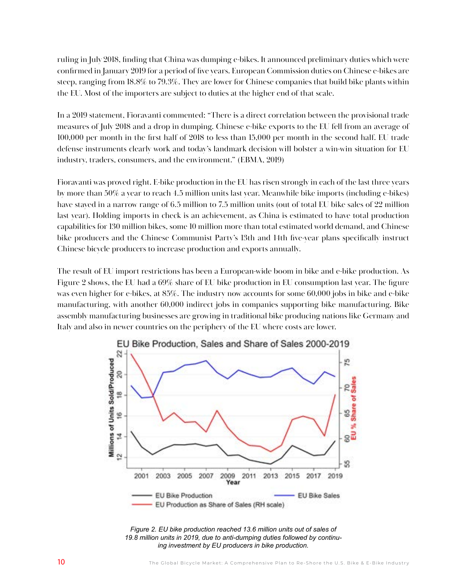ruling in July 2018, finding that China was dumping e-bikes. It announced preliminary duties which were confirmed in January 2019 for a period of five years. European Commission duties on Chinese e-bikes are steep, ranging from 18.8% to 79.3%. They are lower for Chinese companies that build bike plants within the EU. Most of the importers are subject to duties at the higher end of that scale.

In a 2019 statement, Fioravanti commented: "There is a direct correlation between the provisional trade measures of July 2018 and a drop in dumping. Chinese e-bike exports to the EU fell from an average of 100,000 per month in the first half of 2018 to less than 15,000 per month in the second half. EU trade defense instruments clearly work and today's landmark decision will bolster a win-win situation for EU industry, traders, consumers, and the environment." (EBMA, 2019)

Fioravanti was proved right. E-bike production in the EU has risen strongly in each of the last three years by more than 50% a year to reach 4.5 million units last year. Meanwhile bike imports (including e-bikes) have stayed in a narrow range of 6.5 million to 7.5 million units (out of total EU bike sales of 22 million last year). Holding imports in check is an achievement, as China is estimated to have total production capabilities for 130 million bikes, some 10 million more than total estimated world demand, and Chinese bike producers and the Chinese Communist Party's 13th and 14th five-year plans specifically instruct Chinese bicycle producers to increase production and exports annually.

The result of EU import restrictions has been a European-wide boom in bike and e-bike production. As Figure 2 shows, the EU had a 69% share of EU bike production in EU consumption last year. The figure was even higher for e-bikes, at 85%. The industry now accounts for some 60,000 jobs in bike and e-bike manufacturing, with another 60,000 indirect jobs in companies supporting bike manufacturing. Bike assembly manufacturing businesses are growing in traditional bike producing nations like Germany and Italy and also in newer countries on the periphery of the EU where costs are lower.



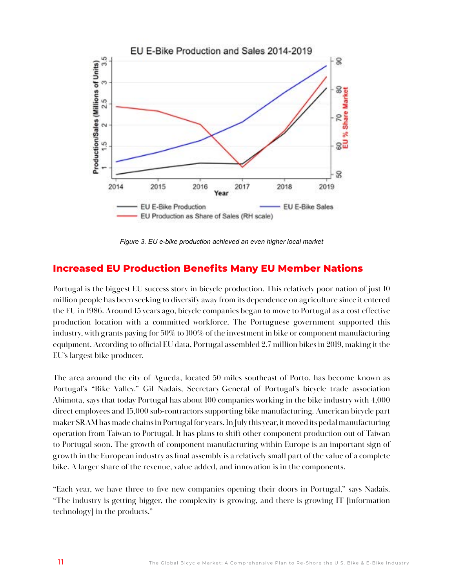

*Figure 3. EU e-bike production achieved an even higher local market* 

#### **Increased EU Production Benefits Many EU Member Nations**

Portugal is the biggest EU success story in bicycle production. This relatively poor nation of just 10 million people has been seeking to diversify away from its dependence on agriculture since it entered the EU in 1986. Around 15 years ago, bicycle companies began to move to Portugal as a cost-effective production location with a committed workforce. The Portuguese government supported this industry, with grants paying for 50% to 100% of the investment in bike or component manufacturing equipment. According to official EU data, Portugal assembled 2.7 million bikes in 2019, making it the EU's largest bike producer.

The area around the city of Agueda, located 50 miles southeast of Porto, has become known as Portugal's "Bike Valley." Gil Nadais, Secretary-General of Portugal's bicycle trade association Abimota, says that today Portugal has about 100 companies working in the bike industry with 4,000 direct employees and 15,000 sub-contractors supporting bike manufacturing. American bicycle part maker SRAM has made chains in Portugal for years. In July this year, it moved its pedal manufacturing operation from Taiwan to Portugal. It has plans to shift other component production out of Taiwan to Portugal soon. The growth of component manufacturing within Europe is an important sign of growth in the European industry as final assembly is a relatively small part of the value of a complete bike. A larger share of the revenue, value-added, and innovation is in the components.

"Each year, we have three to five new companies opening their doors in Portugal," says Nadais. "The industry is getting bigger, the complexity is growing, and there is growing IT [information technology] in the products."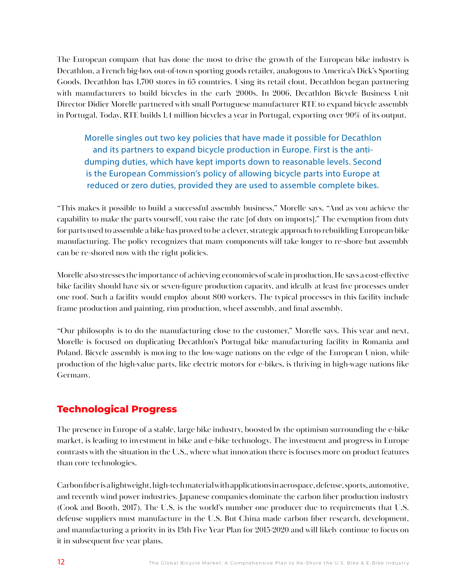The European company that has done the most to drive the growth of the European bike industry is Decathlon, a French big-box out-of-town sporting goods retailer, analogous to America's Dick's Sporting Goods. Decathlon has 1,700 stores in 65 countries. Using its retail clout, Decathlon began partnering with manufacturers to build bicycles in the early 2000s. In 2006, Decathlon Bicycle Business Unit Director Didier Morelle partnered with small Portuguese manufacturer RTE to expand bicycle assembly in Portugal. Today, RTE builds 1.4 million bicycles a year in Portugal, exporting over 90% of its output.

Morelle singles out two key policies that have made it possible for Decathlon and its partners to expand bicycle production in Europe. First is the antidumping duties, which have kept imports down to reasonable levels. Second is the European Commission's policy of allowing bicycle parts into Europe at reduced or zero duties, provided they are used to assemble complete bikes.

"This makes it possible to build a successful assembly business," Morelle says. "And as you achieve the capability to make the parts yourself, you raise the rate [of duty on imports]." The exemption from duty for parts used to assemble a bike has proved to be a clever, strategic approach to rebuilding European bike manufacturing. The policy recognizes that many components will take longer to re-shore but assembly can be re-shored now with the right policies.

Morelle also stresses the importance of achieving economies of scale in production. He says a cost-effective bike facility should have six or seven-figure production capacity, and ideally at least five processes under one roof. Such a facility would employ about 800 workers. The typical processes in this facility include frame production and painting, rim production, wheel assembly, and final assembly.

"Our philosophy is to do the manufacturing close to the customer," Morelle says. This year and next, Morelle is focused on duplicating Decathlon's Portugal bike manufacturing facility in Romania and Poland. Bicycle assembly is moving to the low-wage nations on the edge of the European Union, while production of the high-value parts, like electric motors for e-bikes, is thriving in high-wage nations like Germany.

## **Technological Progress**

The presence in Europe of a stable, large bike industry, boosted by the optimism surrounding the e-bike market, is leading to investment in bike and e-bike technology. The investment and progress in Europe contrasts with the situation in the U.S., where what innovation there is focuses more on product features than core technologies.

Carbon fiber is a lightweight, high-tech material with applications in aerospace, defense, sports, automotive, and recently wind power industries. Japanese companies dominate the carbon fiber production industry (Cook and Booth, 2017). The U.S. is the world's number one producer due to requirements that U.S. defense suppliers must manufacture in the U.S. But China made carbon fiber research, development, and manufacturing a priority in its 13th Five Year Plan for 2015-2020 and will likely continue to focus on it in subsequent five year plans.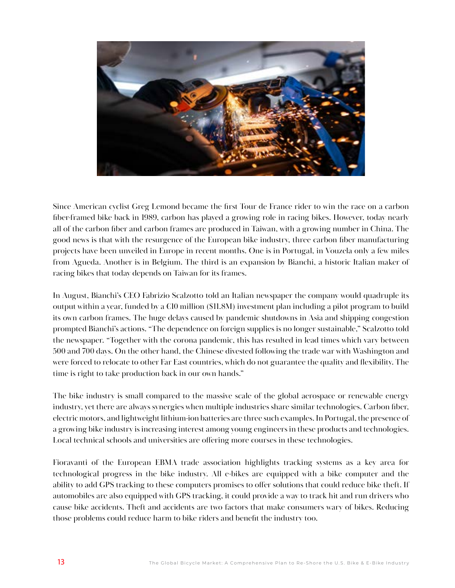

Since American cyclist Greg Lemond became the first Tour de France rider to win the race on a carbon fiber-framed bike back in 1989, carbon has played a growing role in racing bikes. However, today nearly all of the carbon fiber and carbon frames are produced in Taiwan, with a growing number in China. The good news is that with the resurgence of the European bike industry, three carbon fiber manufacturing projects have been unveiled in Europe in recent months. One is in Portugal, in Vouzela only a few miles from Agueda. Another is in Belgium. The third is an expansion by Bianchi, a historic Italian maker of racing bikes that today depends on Taiwan for its frames.

In August, Bianchi's CEO Fabrizio Scalzotto told an Italian newspaper the company would quadruple its output within a year, funded by a  $E10$  million (\$11.8M) investment plan including a pilot program to build its own carbon frames. The huge delays caused by pandemic shutdowns in Asia and shipping congestion prompted Bianchi's actions. "The dependence on foreign supplies is no longer sustainable," Scalzotto told the newspaper. "Together with the corona pandemic, this has resulted in lead times which vary between 500 and 700 days. On the other hand, the Chinese divested following the trade war with Washington and were forced to relocate to other Far East countries, which do not guarantee the quality and flexibility. The time is right to take production back in our own hands."

The bike industry is small compared to the massive scale of the global aerospace or renewable energy industry, yet there are always synergies when multiple industries share similar technologies. Carbon fiber, electric motors, and lightweight lithium-ion batteries are three such examples. In Portugal, the presence of a growing bike industry is increasing interest among young engineers in these products and technologies. Local technical schools and universities are offering more courses in these technologies.

Fioravanti of the European EBMA trade association highlights tracking systems as a key area for technological progress in the bike industry. All e-bikes are equipped with a bike computer and the ability to add GPS tracking to these computers promises to offer solutions that could reduce bike theft. If automobiles are also equipped with GPS tracking, it could provide a way to track hit and run drivers who cause bike accidents. Theft and accidents are two factors that make consumers wary of bikes. Reducing those problems could reduce harm to bike riders and benefit the industry too.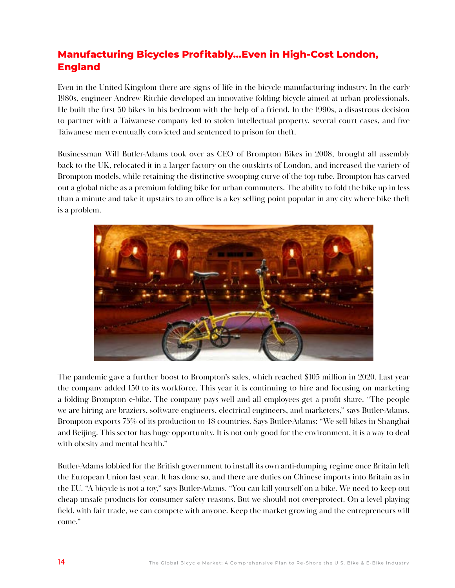# **Manufacturing Bicycles Profitably…Even in High-Cost London, England**

Even in the United Kingdom there are signs of life in the bicycle manufacturing industry. In the early 1980s, engineer Andrew Ritchie developed an innovative folding bicycle aimed at urban professionals. He built the first 50 bikes in his bedroom with the help of a friend. In the 1990s, a disastrous decision to partner with a Taiwanese company led to stolen intellectual property, several court cases, and five Taiwanese men eventually convicted and sentenced to prison for theft.

Businessman Will Butler-Adams took over as CEO of Brompton Bikes in 2008, brought all assembly back to the UK, relocated it in a larger factory on the outskirts of London, and increased the variety of Brompton models, while retaining the distinctive swooping curve of the top tube. Brompton has carved out a global niche as a premium folding bike for urban commuters. The ability to fold the bike up in less than a minute and take it upstairs to an office is a key selling point popular in any city where bike theft is a problem.



The pandemic gave a further boost to Brompton's sales, which reached \$105 million in 2020. Last year the company added 150 to its workforce. This year it is continuing to hire and focusing on marketing a folding Brompton e-bike. The company pays well and all employees get a profit share. "The people we are hiring are braziers, software engineers, electrical engineers, and marketers," says Butler-Adams. Brompton exports 75% of its production to 48 countries. Says Butler-Adams: "We sell bikes in Shanghai and Beijing. This sector has huge opportunity. It is not only good for the environment, it is a way to deal with obesity and mental health."

Butler-Adams lobbied for the British government to install its own anti-dumping regime once Britain left the European Union last year. It has done so, and there are duties on Chinese imports into Britain as in the EU. "A bicycle is not a toy," says Butler-Adams. "You can kill yourself on a bike. We need to keep out cheap unsafe products for consumer safety reasons. But we should not over-protect. On a level playing field, with fair trade, we can compete with anyone. Keep the market growing and the entrepreneurs will come."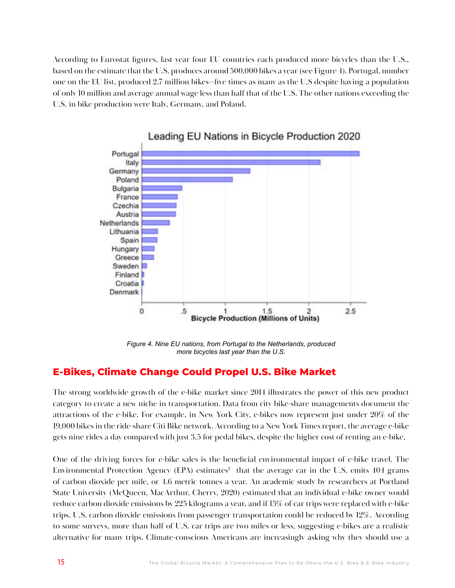According to Eurostat figures, last year four EU countries each produced more bicycles than the U.S., based on the estimate that the U.S. produces around 500,000 bikes a year (see Figure 4). Portugal, number one on the EU list, produced 2.7 million bikes—five times as many as the U.S despite having a population of only 10 million and average annual wage less than half that of the U.S. The other nations exceeding the U.S. in bike production were Italy, Germany, and Poland.



# Leading EU Nations in Bicycle Production 2020

*Figure 4. Nine EU nations, from Portugal to the Netherlands, produced more bicycles last year than the U.S.*

#### **E-Bikes, Climate Change Could Propel U.S. Bike Market**

The strong worldwide growth of the e-bike market since 2014 illustrates the power of this new product category to create a new niche in transportation. Data from city bike-share managements document the attractions of the e-bike. For example, in New York City, e-bikes now represent just under 20% of the 19,000 bikes in the ride-share Citi Bike network. According to a New York Times report, the average e-bike gets nine rides a day compared with just 3.5 for pedal bikes, despite the higher cost of renting an e-bike.

One of the driving forces for e-bike sales is the beneficial environmental impact of e-bike travel. The Environmental Protection Agency (EPA) estimates $^2$  that the average car in the U.S. emits 404 grams of carbon dioxide per mile, or 4.6 metric tonnes a year. An academic study by researchers at Portland State University (McQueen, MacArthur, Cherry, 2020) estimated that an individual e-bike owner would reduce carbon dioxide emissions by 225 kilograms a year, and if 15% of car trips were replaced with e-bike trips, U.S. carbon dioxide emissions from passenger transportation could be reduced by 12%. According to some surveys, more than half of U.S. car trips are two miles or less, suggesting e-bikes are a realistic alternative for many trips. Climate-conscious Americans are increasingly asking why they should use a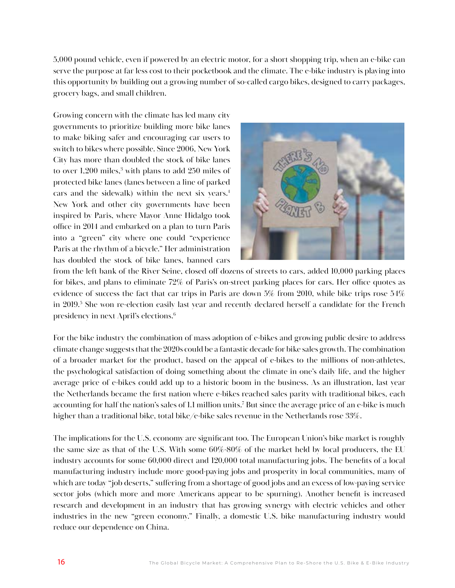5,000 pound vehicle, even if powered by an electric motor, for a short shopping trip, when an e-bike can serve the purpose at far less cost to their pocketbook and the climate. The e-bike industry is playing into this opportunity by building out a growing number of so-called cargo bikes, designed to carry packages, grocery bags, and small children.

Growing concern with the climate has led many city governments to prioritize building more bike lanes to make biking safer and encouraging car users to switch to bikes where possible. Since 2006, New York City has more than doubled the stock of bike lanes to over 1,200 miles,<sup>3</sup> with plans to add 250 miles of protected bike lanes (lanes between a line of parked cars and the sidewalk) within the next six years. $<sup>4</sup>$ </sup> New York and other city governments have been inspired by Paris, where Mayor Anne Hidalgo took office in 2014 and embarked on a plan to turn Paris into a "green" city where one could "experience Paris at the rhythm of a bicycle." Her administration has doubled the stock of bike lanes, banned cars



from the left bank of the River Seine, closed off dozens of streets to cars, added 10,000 parking places for bikes, and plans to eliminate 72% of Paris's on-street parking places for cars. Her office quotes as evidence of success the fact that car trips in Paris are down 5% from 2010, while bike trips rose 54% in 2019.<sup>5</sup> She won re-election easily last year and recently declared herself a candidate for the French presidency in next April's elections.<sup>6</sup>

For the bike industry the combination of mass adoption of e-bikes and growing public desire to address climate change suggests that the 2020s could be a fantastic decade for bike sales growth. The combination of a broader market for the product, based on the appeal of e-bikes to the millions of non-athletes, the psychological satisfaction of doing something about the climate in one's daily life, and the higher average price of e-bikes could add up to a historic boom in the business. As an illustration, last year the Netherlands became the first nation where e-bikes reached sales parity with traditional bikes, each accounting for half the nation's sales of 1.1 million units.7 But since the average price of an e-bike is much higher than a traditional bike, total bike/e-bike sales revenue in the Netherlands rose 33%.

The implications for the U.S. economy are significant too. The European Union's bike market is roughly the same size as that of the U.S. With some 60%-80% of the market held by local producers, the EU industry accounts for some 60,000 direct and 120,000 total manufacturing jobs. The benefits of a local manufacturing industry include more good-paying jobs and prosperity in local communities, many of which are today "job deserts," suffering from a shortage of good jobs and an excess of low-paying service sector jobs (which more and more Americans appear to be spurning). Another benefit is increased research and development in an industry that has growing synergy with electric vehicles and other industries in the new "green economy." Finally, a domestic U.S. bike manufacturing industry would reduce our dependence on China.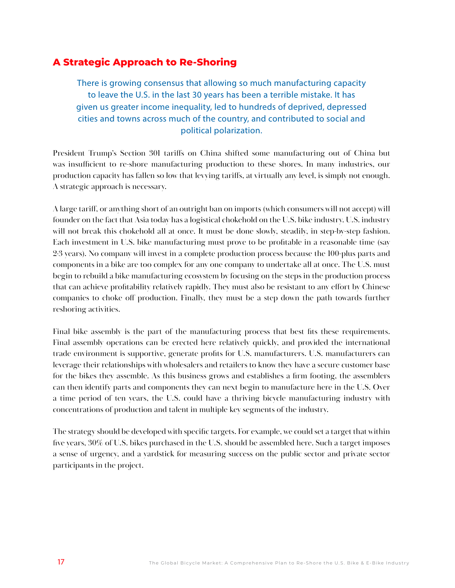## **A Strategic Approach to Re-Shoring**

There is growing consensus that allowing so much manufacturing capacity to leave the U.S. in the last 30 years has been a terrible mistake. It has given us greater income inequality, led to hundreds of deprived, depressed cities and towns across much of the country, and contributed to social and political polarization.

President Trump's Section 301 tariffs on China shifted some manufacturing out of China but was insufficient to re-shore manufacturing production to these shores. In many industries, our production capacity has fallen so low that levying tariffs, at virtually any level, is simply not enough. A strategic approach is necessary.

A large tariff, or anything short of an outright ban on imports (which consumers will not accept) will founder on the fact that Asia today has a logistical chokehold on the U.S. bike industry. U.S. industry will not break this chokehold all at once. It must be done slowly, steadily, in step-by-step fashion. Each investment in U.S. bike manufacturing must prove to be profitable in a reasonable time (say 2-3 years). No company will invest in a complete production process because the 100-plus parts and components in a bike are too complex for any one company to undertake all at once. The U.S. must begin to rebuild a bike manufacturing ecosystem by focusing on the steps in the production process that can achieve profitability relatively rapidly. They must also be resistant to any effort by Chinese companies to choke off production. Finally, they must be a step down the path towards further reshoring activities.

Final bike assembly is the part of the manufacturing process that best fits these requirements. Final assembly operations can be erected here relatively quickly, and provided the international trade environment is supportive, generate profits for U.S. manufacturers. U.S. manufacturers can leverage their relationships with wholesalers and retailers to know they have a secure customer base for the bikes they assemble. As this business grows and establishes a firm footing, the assemblers can then identify parts and components they can next begin to manufacture here in the U.S. Over a time period of ten years, the U.S. could have a thriving bicycle manufacturing industry with concentrations of production and talent in multiple key segments of the industry.

The strategy should be developed with specific targets. For example, we could set a target that within five years, 30% of U.S. bikes purchased in the U.S. should be assembled here. Such a target imposes a sense of urgency, and a yardstick for measuring success on the public sector and private sector participants in the project.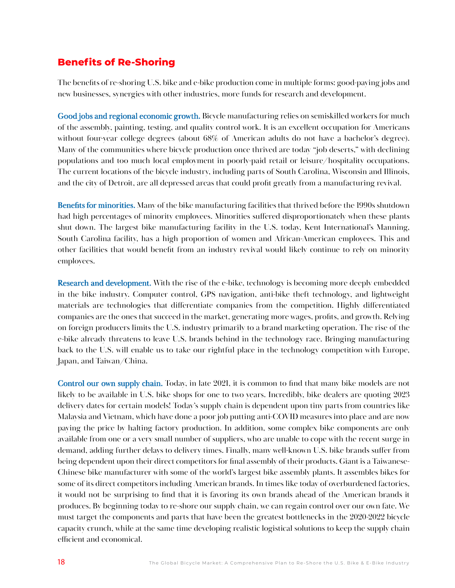## **Benefits of Re-Shoring**

The benefits of re-shoring U.S. bike and e-bike production come in multiple forms: good-paying jobs and new businesses, synergies with other industries, more funds for research and development.

Good jobs and regional economic growth. Bicycle manufacturing relies on semiskilled workers for much of the assembly, painting, testing, and quality control work. It is an excellent occupation for Americans without four-year college degrees (about 68% of American adults do not have a bachelor's degree). Many of the communities where bicycle production once thrived are today "job deserts," with declining populations and too much local employment in poorly-paid retail or leisure/hospitality occupations. The current locations of the bicycle industry, including parts of South Carolina, Wisconsin and Illinois, and the city of Detroit, are all depressed areas that could profit greatly from a manufacturing revival.

Benefits for minorities. Many of the bike manufacturing facilities that thrived before the 1990s shutdown had high percentages of minority employees. Minorities suffered disproportionately when these plants shut down. The largest bike manufacturing facility in the U.S. today, Kent International's Manning, South Carolina facility, has a high proportion of women and African-American employees. This and other facilities that would benefit from an industry revival would likely continue to rely on minority employees.

Research and development. With the rise of the e-bike, technology is becoming more deeply embedded in the bike industry. Computer control, GPS navigation, anti-bike theft technology, and lightweight materials are technologies that differentiate companies from the competition. Highly differentiated companies are the ones that succeed in the market, generating more wages, profits, and growth. Relying on foreign producers limits the U.S. industry primarily to a brand marketing operation. The rise of the e-bike already threatens to leave U.S. brands behind in the technology race. Bringing manufacturing back to the U.S. will enable us to take our rightful place in the technology competition with Europe, Japan, and Taiwan/China.

Control our own supply chain. Today, in late 2021, it is common to find that many bike models are not likely to be available in U.S. bike shops for one to two years. Incredibly, bike dealers are quoting 2023 delivery dates for certain models! Today's supply chain is dependent upon tiny parts from countries like Malaysia and Vietnam, which have done a poor job putting anti-COVID measures into place and are now paying the price by halting factory production. In addition, some complex bike components are only available from one or a very small number of suppliers, who are unable to cope with the recent surge in demand, adding further delays to delivery times. Finally, many well-known U.S. bike brands suffer from being dependent upon their direct competitors for final assembly of their products. Giant is a Taiwanese-Chinese bike manufacturer with some of the world's largest bike assembly plants. It assembles bikes for some of its direct competitors including American brands. In times like today of overburdened factories, it would not be surprising to find that it is favoring its own brands ahead of the American brands it produces. By beginning today to re-shore our supply chain, we can regain control over our own fate. We must target the components and parts that have been the greatest bottlenecks in the 2020-2022 bicycle capacity crunch, while at the same time developing realistic logistical solutions to keep the supply chain efficient and economical.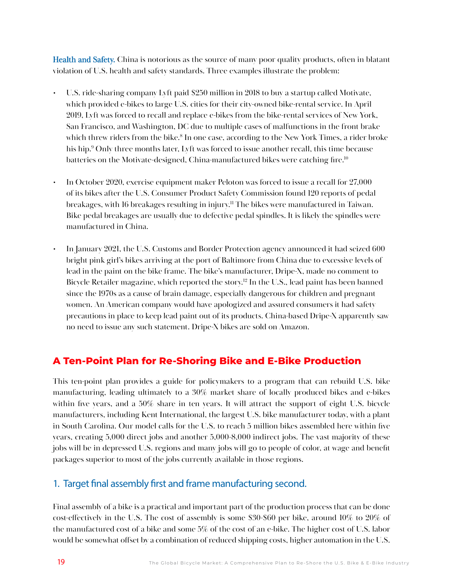Health and Safety. China is notorious as the source of many poor quality products, often in blatant violation of U.S. health and safety standards. Three examples illustrate the problem:

- U.S. ride-sharing company Lyft paid \$250 million in 2018 to buy a startup called Motivate, which provided e-bikes to large U.S. cities for their city-owned bike-rental service. In April 2019, Lyft was forced to recall and replace e-bikes from the bike-rental services of New York, San Francisco, and Washington, DC due to multiple cases of malfunctions in the front brake which threw riders from the bike.<sup>8</sup> In one case, according to the New York Times, a rider broke his hip.9 Only three months later, Lyft was forced to issue another recall, this time because batteries on the Motivate-designed, China-manufactured bikes were catching fire.<sup>10</sup>
- In October 2020, exercise equipment maker Peloton was forced to issue a recall for 27,000 of its bikes after the U.S. Consumer Product Safety Commission found 120 reports of pedal breakages, with 16 breakages resulting in injury.<sup>11</sup> The bikes were manufactured in Taiwan. Bike pedal breakages are usually due to defective pedal spindles. It is likely the spindles were manufactured in China.
- In January 2021, the U.S. Customs and Border Protection agency announced it had seized 600 bright pink girl's bikes arriving at the port of Baltimore from China due to excessive levels of lead in the paint on the bike frame. The bike's manufacturer, Dripe-X, made no comment to Bicycle Retailer magazine, which reported the story.<sup>12</sup> In the U.S., lead paint has been banned since the 1970s as a cause of brain damage, especially dangerous for children and pregnant women. An American company would have apologized and assured consumers it had safety precautions in place to keep lead paint out of its products. China-based Dripe-X apparently saw no need to issue any such statement. Dripe-X bikes are sold on Amazon.

# **A Ten-Point Plan for Re-Shoring Bike and E-Bike Production**

This ten-point plan provides a guide for policymakers to a program that can rebuild U.S. bike manufacturing, leading ultimately to a 30% market share of locally produced bikes and e-bikes within five years, and a 50% share in ten years. It will attract the support of eight U.S. bicycle manufacturers, including Kent International, the largest U.S. bike manufacturer today, with a plant in South Carolina. Our model calls for the U.S. to reach 5 million bikes assembled here within five years, creating 5,000 direct jobs and another 5,000-8,000 indirect jobs. The vast majority of these jobs will be in depressed U.S. regions and many jobs will go to people of color, at wage and benefit packages superior to most of the jobs currently available in those regions.

## 1. Target final assembly first and frame manufacturing second.

Final assembly of a bike is a practical and important part of the production process that can be done cost-effectively in the U.S. The cost of assembly is some \$30-\$60 per bike, around 10% to 20% of the manufactured cost of a bike and some 5% of the cost of an e-bike. The higher cost of U.S. labor would be somewhat offset by a combination of reduced shipping costs, higher automation in the U.S.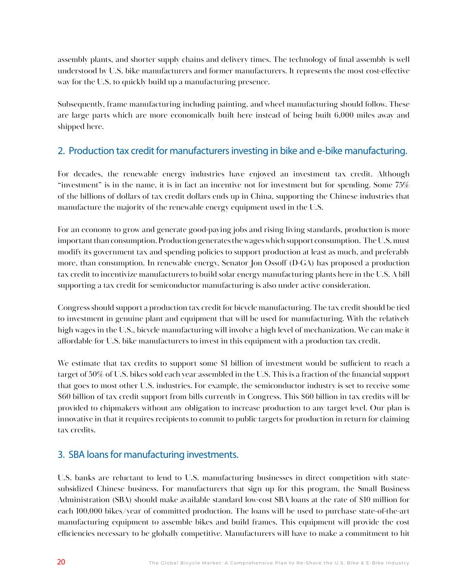assembly plants, and shorter supply chains and delivery times. The technology of final assembly is well understood by U.S. bike manufacturers and former manufacturers. It represents the most cost-effective way for the U.S. to quickly build up a manufacturing presence.

Subsequently, frame manufacturing including painting, and wheel manufacturing should follow. These are large parts which are more economically built here instead of being built 6,000 miles away and shipped here.

#### 2. Production tax credit for manufacturers investing in bike and e-bike manufacturing.

For decades, the renewable energy industries have enjoyed an investment tax credit. Although "investment" is in the name, it is in fact an incentive not for investment but for spending. Some 75% of the billions of dollars of tax credit dollars ends up in China, supporting the Chinese industries that manufacture the majority of the renewable energy equipment used in the U.S.

For an economy to grow and generate good-paying jobs and rising living standards, production is more important than consumption. Production generates the wages which support consumption. The U.S. must modify its government tax and spending policies to support production at least as much, and preferably more, than consumption. In renewable energy, Senator Jon Ossoff (D-GA) has proposed a production tax credit to incentivize manufacturers to build solar energy manufacturing plants here in the U.S. A bill supporting a tax credit for semiconductor manufacturing is also under active consideration.

Congress should support a production tax credit for bicycle manufacturing. The tax credit should be tied to investment in genuine plant and equipment that will be used for manufacturing. With the relatively high wages in the U.S., bicycle manufacturing will involve a high level of mechanization. We can make it affordable for U.S. bike manufacturers to invest in this equipment with a production tax credit.

We estimate that tax credits to support some \$1 billion of investment would be sufficient to reach a target of 50% of U.S. bikes sold each year assembled in the U.S. This is a fraction of the financial support that goes to most other U.S. industries. For example, the semiconductor industry is set to receive some \$60 billion of tax credit support from bills currently in Congress. This \$60 billion in tax credits will be provided to chipmakers without any obligation to increase production to any target level. Our plan is innovative in that it requires recipients to commit to public targets for production in return for claiming tax credits.

## 3. SBA loans for manufacturing investments.

U.S. banks are reluctant to lend to U.S. manufacturing businesses in direct competition with statesubsidized Chinese business. For manufacturers that sign up for this program, the Small Business Administration (SBA) should make available standard low-cost SBA loans at the rate of \$10 million for each 100,000 bikes/year of committed production. The loans will be used to purchase state-of-the-art manufacturing equipment to assemble bikes and build frames. This equipment will provide the cost efficiencies necessary to be globally competitive. Manufacturers will have to make a commitment to hit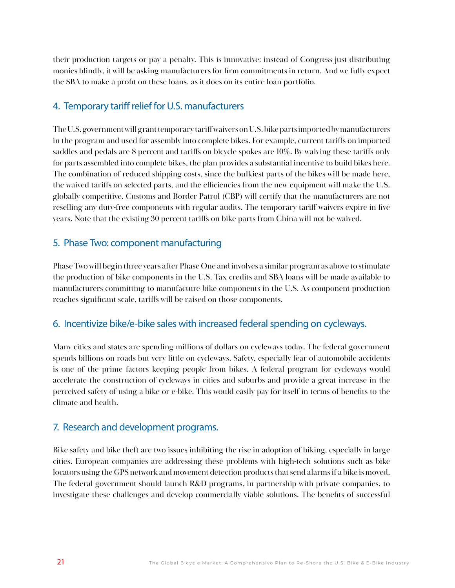their production targets or pay a penalty. This is innovative: instead of Congress just distributing monies blindly, it will be asking manufacturers for firm commitments in return. And we fully expect the SBA to make a profit on these loans, as it does on its entire loan portfolio.

#### 4. Temporary tariff relief for U.S. manufacturers

The U.S. government will grant temporary tariff waivers on U.S. bike parts imported by manufacturers in the program and used for assembly into complete bikes. For example, current tariffs on imported saddles and pedals are 8 percent and tariffs on bicycle spokes are 10%. By waiving these tariffs only for parts assembled into complete bikes, the plan provides a substantial incentive to build bikes here. The combination of reduced shipping costs, since the bulkiest parts of the bikes will be made here, the waived tariffs on selected parts, and the efficiencies from the new equipment will make the U.S. globally competitive. Customs and Border Patrol (CBP) will certify that the manufacturers are not reselling any duty-free components with regular audits. The temporary tariff waivers expire in five years. Note that the existing 30 percent tariffs on bike parts from China will not be waived.

#### 5. Phase Two: component manufacturing

Phase Two will begin three years after Phase One and involves a similar program as above to stimulate the production of bike components in the U.S. Tax credits and SBA loans will be made available to manufacturers committing to manufacture bike components in the U.S. As component production reaches significant scale, tariffs will be raised on those components.

#### 6. Incentivize bike/e-bike sales with increased federal spending on cycleways.

Many cities and states are spending millions of dollars on cycleways today. The federal government spends billions on roads but very little on cycleways. Safety, especially fear of automobile accidents is one of the prime factors keeping people from bikes. A federal program for cycleways would accelerate the construction of cycleways in cities and suburbs and provide a great increase in the perceived safety of using a bike or e-bike. This would easily pay for itself in terms of benefits to the climate and health.

#### 7. Research and development programs.

Bike safety and bike theft are two issues inhibiting the rise in adoption of biking, especially in large cities. European companies are addressing these problems with high-tech solutions such as bike locators using the GPS network and movement detection products that send alarms if a bike is moved. The federal government should launch R&D programs, in partnership with private companies, to investigate these challenges and develop commercially viable solutions. The benefits of successful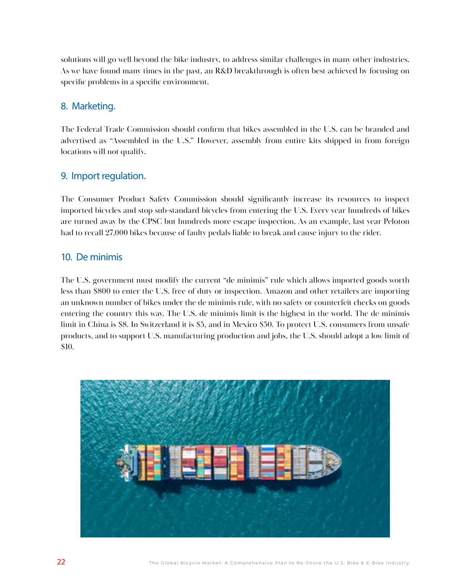solutions will go well beyond the bike industry, to address similar challenges in many other industries. As we have found many times in the past, an R&D breakthrough is often best achieved by focusing on specific problems in a specific environment.

#### 8. Marketing.

The Federal Trade Commission should confirm that bikes assembled in the U.S. can be branded and advertised as "Assembled in the U.S." However, assembly from entire kits shipped in from foreign locations will not qualify.

#### 9. Import regulation.

The Consumer Product Safety Commission should significantly increase its resources to inspect imported bicycles and stop sub-standard bicycles from entering the U.S. Every year hundreds of bikes are turned away by the CPSC but hundreds more escape inspection. As an example, last year Peloton had to recall 27,000 bikes because of faulty pedals liable to break and cause injury to the rider.

#### 10. De minimis

The U.S. government must modify the current "de minimis" rule which allows imported goods worth less than \$800 to enter the U.S. free of duty or inspection. Amazon and other retailers are importing an unknown number of bikes under the de minimis rule, with no safety or counterfeit checks on goods entering the country this way. The U.S. de minimis limit is the highest in the world. The de minimis limit in China is \$8. In Switzerland it is \$5, and in Mexico \$50. To protect U.S. consumers from unsafe products, and to support U.S. manufacturing production and jobs, the U.S. should adopt a low limit of \$10.

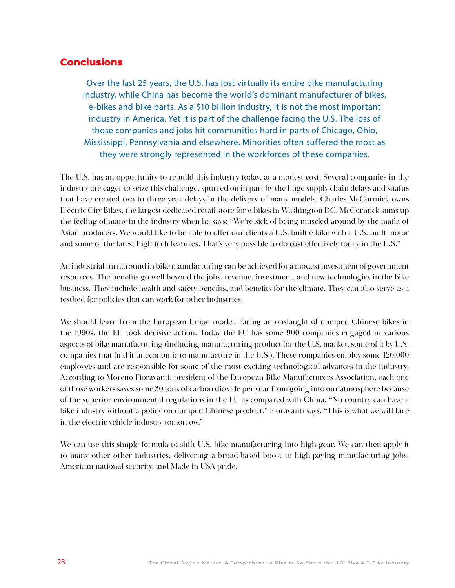#### **Conclusions**

Over the last 25 years, the U.S. has lost virtually its entire bike manufacturing industry, while China has become the world's dominant manufacturer of bikes, e-bikes and bike parts. As a \$10 billion industry, it is not the most important industry in America. Yet it is part of the challenge facing the U.S. The loss of those companies and jobs hit communities hard in parts of Chicago, Ohio, Mississippi, Pennsylvania and elsewhere. Minorities often suffered the most as they were strongly represented in the workforces of these companies.

The U.S. has an opportunity to rebuild this industry today, at a modest cost. Several companies in the industry are eager to seize this challenge, spurred on in part by the huge supply chain delays and snafus that have created two to three year delays in the delivery of many models. Charles McCormick owns Electric City Bikes, the largest dedicated retail store for e-bikes in Washington DC. McCormick sums up the feeling of many in the industry when he says: "We're sick of being muscled around by the mafia of Asian producers. We would like to be able to offer our clients a U.S.-built e-bike with a U.S.-built motor and some of the latest high-tech features. That's very possible to do cost-effectively today in the U.S."

An industrial turnaround in bike manufacturing can be achieved for a modest investment of government resources. The benefits go well beyond the jobs, revenue, investment, and new technologies in the bike business. They include health and safety benefits, and benefits for the climate. They can also serve as a testbed for policies that can work for other industries.

We should learn from the European Union model. Facing an onslaught of dumped Chinese bikes in the 1990s, the EU took decisive action. Today the EU has some 900 companies engaged in various aspects of bike manufacturing (including manufacturing product for the U.S. market, some of it by U.S. companies that find it uneconomic to manufacture in the U.S.). These companies employ some 120,000 employees and are responsible for some of the most exciting technological advances in the industry. According to Moreno Fioravanti, president of the European Bike Manufacturers Association, each one of those workers saves some 30 tons of carbon dioxide per year from going into our atmosphere because of the superior environmental regulations in the EU as compared with China. "No country can have a bike industry without a policy on dumped Chinese product," Fioravanti says. "This is what we will face in the electric vehicle industry tomorrow."

We can use this simple formula to shift U.S. bike manufacturing into high gear. We can then apply it to many other other industries, delivering a broad-based boost to high-paying manufacturing jobs, American national security, and Made in USA pride.